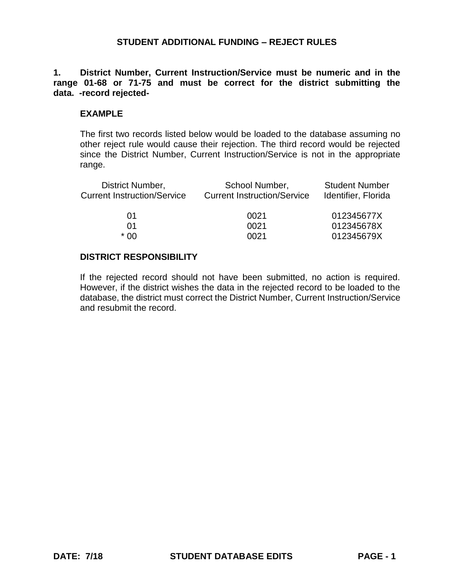**1. District Number, Current Instruction/Service must be numeric and in the range 01-68 or 71-75 and must be correct for the district submitting the data. -record rejected-**

### **EXAMPLE**

The first two records listed below would be loaded to the database assuming no other reject rule would cause their rejection. The third record would be rejected since the District Number, Current Instruction/Service is not in the appropriate range.

| School Number,<br><b>Current Instruction/Service</b> | <b>Student Number</b><br>Identifier, Florida |
|------------------------------------------------------|----------------------------------------------|
| 0021                                                 | 012345677X                                   |
| 0021                                                 | 012345678X                                   |
| 0021                                                 | 012345679X                                   |
|                                                      |                                              |

### **DISTRICT RESPONSIBILITY**

If the rejected record should not have been submitted, no action is required. However, if the district wishes the data in the rejected record to be loaded to the database, the district must correct the District Number, Current Instruction/Service and resubmit the record.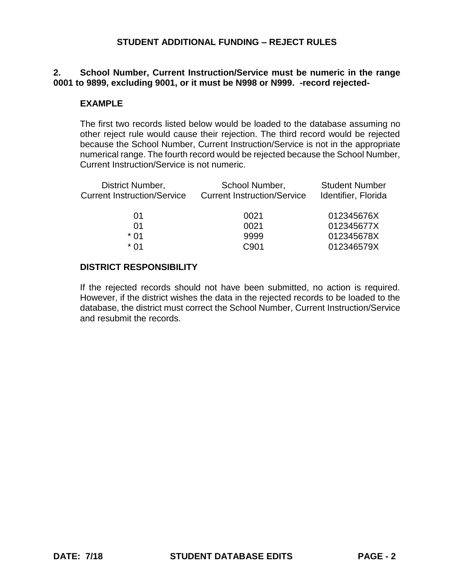# **2. School Number, Current Instruction/Service must be numeric in the range 0001 to 9899, excluding 9001, or it must be N998 or N999. -record rejected-**

### **EXAMPLE**

The first two records listed below would be loaded to the database assuming no other reject rule would cause their rejection. The third record would be rejected because the School Number, Current Instruction/Service is not in the appropriate numerical range. The fourth record would be rejected because the School Number, Current Instruction/Service is not numeric.

| District Number,<br><b>Current Instruction/Service</b> | School Number,<br><b>Current Instruction/Service</b> | <b>Student Number</b><br>Identifier, Florida |
|--------------------------------------------------------|------------------------------------------------------|----------------------------------------------|
| 01                                                     | 0021                                                 | 012345676X                                   |
| 01                                                     | 0021                                                 | 012345677X                                   |
| * 01                                                   | 9999                                                 | 012345678X                                   |
| * በ1                                                   | C <sub>901</sub>                                     | 012346579X                                   |
|                                                        |                                                      |                                              |

### **DISTRICT RESPONSIBILITY**

If the rejected records should not have been submitted, no action is required. However, if the district wishes the data in the rejected records to be loaded to the database, the district must correct the School Number, Current Instruction/Service and resubmit the records.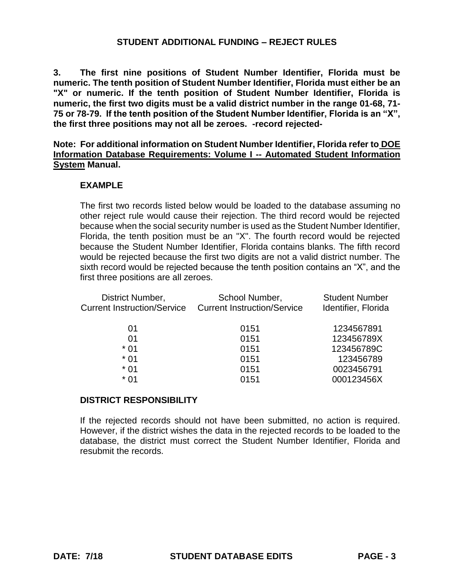**3. The first nine positions of Student Number Identifier, Florida must be numeric. The tenth position of Student Number Identifier, Florida must either be an "X" or numeric. If the tenth position of Student Number Identifier, Florida is numeric, the first two digits must be a valid district number in the range 01-68, 71- 75 or 78-79. If the tenth position of the Student Number Identifier, Florida is an "X", the first three positions may not all be zeroes. -record rejected-**

**Note: For additional information on Student Number Identifier, Florida refer to DOE Information Database Requirements: Volume I -- Automated Student Information System Manual.**

### **EXAMPLE**

The first two records listed below would be loaded to the database assuming no other reject rule would cause their rejection. The third record would be rejected because when the social security number is used as the Student Number Identifier, Florida, the tenth position must be an "X". The fourth record would be rejected because the Student Number Identifier, Florida contains blanks. The fifth record would be rejected because the first two digits are not a valid district number. The sixth record would be rejected because the tenth position contains an "X", and the first three positions are all zeroes.

| District Number,                   | School Number,                     | <b>Student Number</b> |
|------------------------------------|------------------------------------|-----------------------|
| <b>Current Instruction/Service</b> | <b>Current Instruction/Service</b> | Identifier, Florida   |
| 01                                 | 0151                               | 1234567891            |
| 01                                 | 0151                               | 123456789X            |
| $*01$                              | 0151                               | 123456789C            |
| $*01$                              | 0151                               | 123456789             |
| $*01$                              | 0151                               | 0023456791            |
| * 01                               | 0151                               | 000123456X            |
|                                    |                                    |                       |

### **DISTRICT RESPONSIBILITY**

If the rejected records should not have been submitted, no action is required. However, if the district wishes the data in the rejected records to be loaded to the database, the district must correct the Student Number Identifier, Florida and resubmit the records.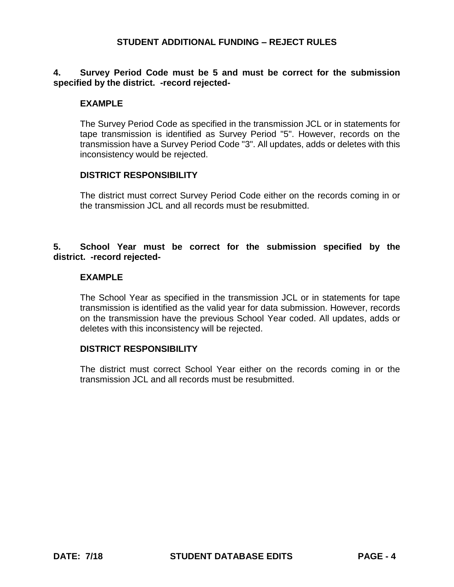# **4. Survey Period Code must be 5 and must be correct for the submission specified by the district. -record rejected-**

# **EXAMPLE**

The Survey Period Code as specified in the transmission JCL or in statements for tape transmission is identified as Survey Period "5". However, records on the transmission have a Survey Period Code "3". All updates, adds or deletes with this inconsistency would be rejected.

### **DISTRICT RESPONSIBILITY**

The district must correct Survey Period Code either on the records coming in or the transmission JCL and all records must be resubmitted.

# **5. School Year must be correct for the submission specified by the district. -record rejected-**

### **EXAMPLE**

The School Year as specified in the transmission JCL or in statements for tape transmission is identified as the valid year for data submission. However, records on the transmission have the previous School Year coded. All updates, adds or deletes with this inconsistency will be rejected.

### **DISTRICT RESPONSIBILITY**

The district must correct School Year either on the records coming in or the transmission JCL and all records must be resubmitted.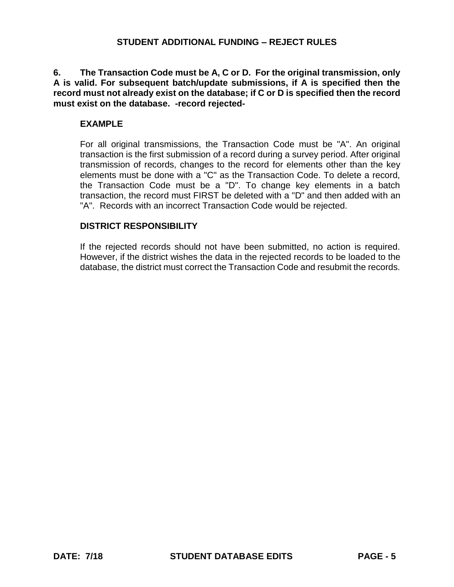**6. The Transaction Code must be A, C or D. For the original transmission, only A is valid. For subsequent batch/update submissions, if A is specified then the record must not already exist on the database; if C or D is specified then the record must exist on the database. -record rejected-**

### **EXAMPLE**

For all original transmissions, the Transaction Code must be "A". An original transaction is the first submission of a record during a survey period. After original transmission of records, changes to the record for elements other than the key elements must be done with a "C" as the Transaction Code. To delete a record, the Transaction Code must be a "D". To change key elements in a batch transaction, the record must FIRST be deleted with a "D" and then added with an "A". Records with an incorrect Transaction Code would be rejected.

### **DISTRICT RESPONSIBILITY**

If the rejected records should not have been submitted, no action is required. However, if the district wishes the data in the rejected records to be loaded to the database, the district must correct the Transaction Code and resubmit the records.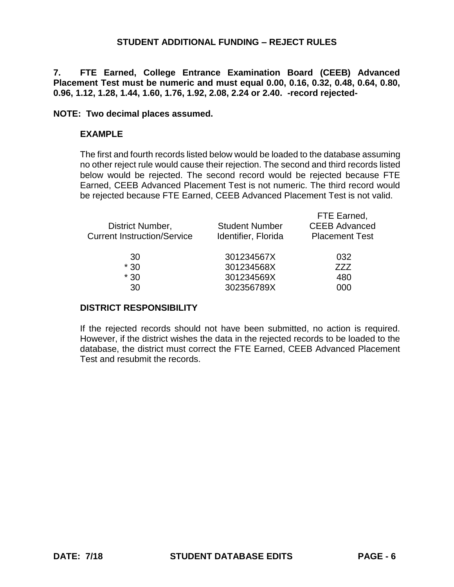**7. FTE Earned, College Entrance Examination Board (CEEB) Advanced Placement Test must be numeric and must equal 0.00, 0.16, 0.32, 0.48, 0.64, 0.80, 0.96, 1.12, 1.28, 1.44, 1.60, 1.76, 1.92, 2.08, 2.24 or 2.40. -record rejected-**

### **NOTE: Two decimal places assumed.**

### **EXAMPLE**

The first and fourth records listed below would be loaded to the database assuming no other reject rule would cause their rejection. The second and third records listed below would be rejected. The second record would be rejected because FTE Earned, CEEB Advanced Placement Test is not numeric. The third record would be rejected because FTE Earned, CEEB Advanced Placement Test is not valid.

| District Number,<br><b>Current Instruction/Service</b> | <b>Student Number</b><br>Identifier, Florida | FIE Earned,<br><b>CEEB Advanced</b><br><b>Placement Test</b> |
|--------------------------------------------------------|----------------------------------------------|--------------------------------------------------------------|
| 30                                                     | 301234567X                                   | 032                                                          |
| $*30$                                                  | 301234568X                                   | 777                                                          |
| $*30$                                                  | 301234569X                                   | 480                                                          |
| 30                                                     | 302356789X                                   | 000                                                          |
|                                                        |                                              |                                                              |

### **DISTRICT RESPONSIBILITY**

If the rejected records should not have been submitted, no action is required. However, if the district wishes the data in the rejected records to be loaded to the database, the district must correct the FTE Earned, CEEB Advanced Placement Test and resubmit the records.

FTE Earned,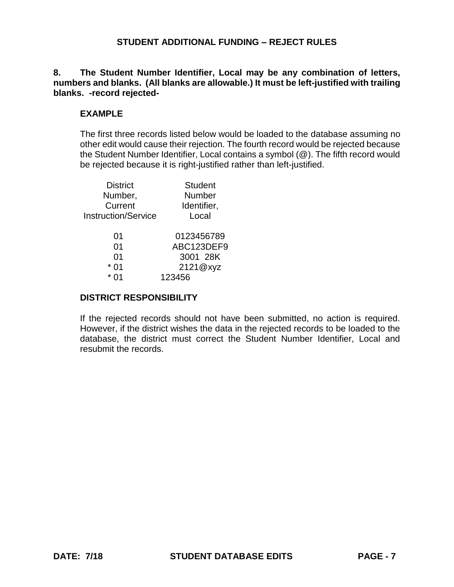**8. The Student Number Identifier, Local may be any combination of letters, numbers and blanks. (All blanks are allowable.) It must be left-justified with trailing blanks. -record rejected-**

### **EXAMPLE**

The first three records listed below would be loaded to the database assuming no other edit would cause their rejection. The fourth record would be rejected because the Student Number Identifier, Local contains a symbol (@). The fifth record would be rejected because it is right-justified rather than left-justified.

| <b>District</b>            | <b>Student</b> |
|----------------------------|----------------|
| Number,                    | <b>Number</b>  |
| Current                    | Identifier,    |
| <b>Instruction/Service</b> | Local          |
|                            |                |
| 01                         | 0123456789     |
| 01                         | ABC123DEF9     |
| 01                         | 3001 28K       |
| 01                         | 2121@xyz       |
|                            | 123456         |

### **DISTRICT RESPONSIBILITY**

If the rejected records should not have been submitted, no action is required. However, if the district wishes the data in the rejected records to be loaded to the database, the district must correct the Student Number Identifier, Local and resubmit the records.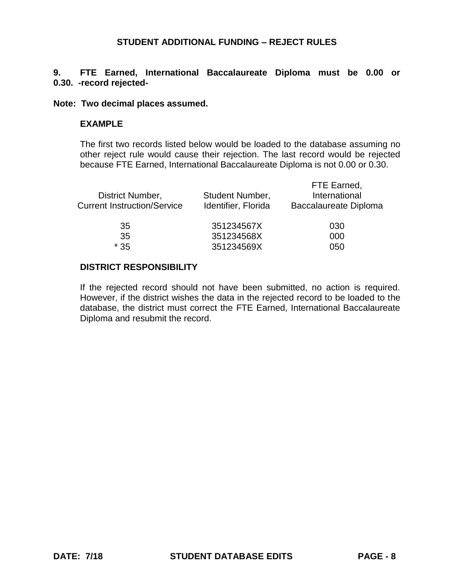# **9. FTE Earned, International Baccalaureate Diploma must be 0.00 or 0.30. -record rejected-**

#### **Note: Two decimal places assumed.**

### **EXAMPLE**

The first two records listed below would be loaded to the database assuming no other reject rule would cause their rejection. The last record would be rejected because FTE Earned, International Baccalaureate Diploma is not 0.00 or 0.30.

| Student Number,<br>Identifier, Florida | FTE Earned,<br>International<br><b>Baccalaureate Diploma</b> |
|----------------------------------------|--------------------------------------------------------------|
| 351234567X                             | 030                                                          |
| 351234568X                             | 000                                                          |
| 351234569X                             | 050                                                          |
|                                        |                                                              |

#### **DISTRICT RESPONSIBILITY**

If the rejected record should not have been submitted, no action is required. However, if the district wishes the data in the rejected record to be loaded to the database, the district must correct the FTE Earned, International Baccalaureate Diploma and resubmit the record.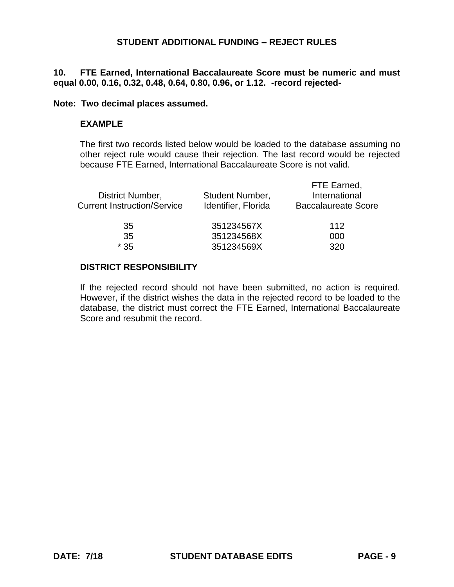## **10. FTE Earned, International Baccalaureate Score must be numeric and must equal 0.00, 0.16, 0.32, 0.48, 0.64, 0.80, 0.96, or 1.12. -record rejected-**

#### **Note: Two decimal places assumed.**

### **EXAMPLE**

The first two records listed below would be loaded to the database assuming no other reject rule would cause their rejection. The last record would be rejected because FTE Earned, International Baccalaureate Score is not valid.

| District Number,<br><b>Current Instruction/Service</b> | Student Number,<br>Identifier, Florida | FTE Earned,<br>International<br><b>Baccalaureate Score</b> |
|--------------------------------------------------------|----------------------------------------|------------------------------------------------------------|
| 35                                                     | 351234567X                             | 112                                                        |
| 35                                                     | 351234568X                             | 000                                                        |
| $*35$                                                  | 351234569X                             | 320                                                        |
|                                                        |                                        |                                                            |

### **DISTRICT RESPONSIBILITY**

If the rejected record should not have been submitted, no action is required. However, if the district wishes the data in the rejected record to be loaded to the database, the district must correct the FTE Earned, International Baccalaureate Score and resubmit the record.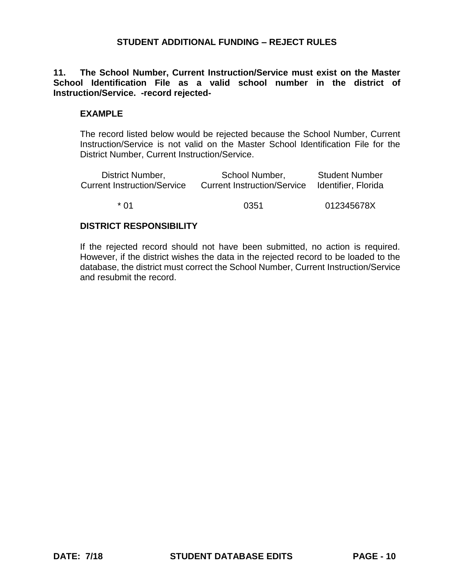**11. The School Number, Current Instruction/Service must exist on the Master School Identification File as a valid school number in the district of Instruction/Service. -record rejected-**

### **EXAMPLE**

The record listed below would be rejected because the School Number, Current Instruction/Service is not valid on the Master School Identification File for the District Number, Current Instruction/Service.

| District Number,                   | School Number,                     | <b>Student Number</b> |
|------------------------------------|------------------------------------|-----------------------|
| <b>Current Instruction/Service</b> | <b>Current Instruction/Service</b> | Identifier, Florida   |
| * በ1                               | 0351                               | 012345678X            |

### **DISTRICT RESPONSIBILITY**

If the rejected record should not have been submitted, no action is required. However, if the district wishes the data in the rejected record to be loaded to the database, the district must correct the School Number, Current Instruction/Service and resubmit the record.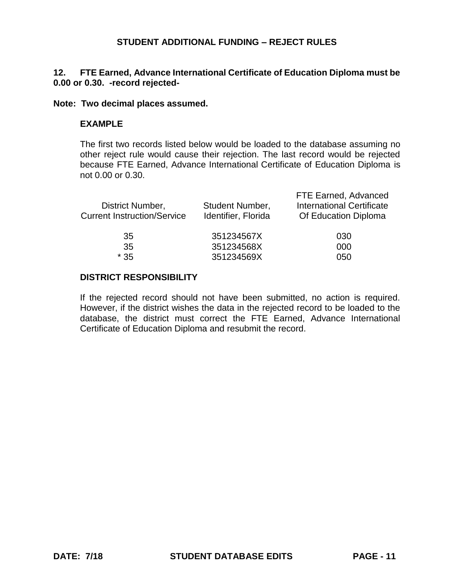# **12. FTE Earned, Advance International Certificate of Education Diploma must be 0.00 or 0.30. -record rejected-**

#### **Note: Two decimal places assumed.**

### **EXAMPLE**

The first two records listed below would be loaded to the database assuming no other reject rule would cause their rejection. The last record would be rejected because FTE Earned, Advance International Certificate of Education Diploma is not 0.00 or 0.30.

| Student Number,<br>Identifier, Florida | FTE Earned, Advanced<br><b>International Certificate</b><br>Of Education Diploma |
|----------------------------------------|----------------------------------------------------------------------------------|
| 351234567X<br>351234568X<br>351234569X | 030<br>000<br>050                                                                |
|                                        |                                                                                  |

#### **DISTRICT RESPONSIBILITY**

If the rejected record should not have been submitted, no action is required. However, if the district wishes the data in the rejected record to be loaded to the database, the district must correct the FTE Earned, Advance International Certificate of Education Diploma and resubmit the record.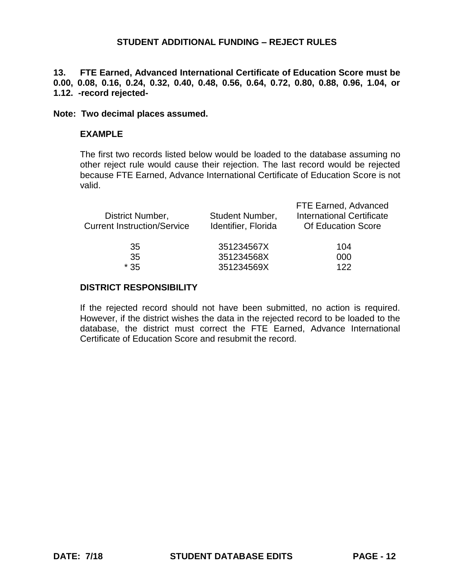**13. FTE Earned, Advanced International Certificate of Education Score must be 0.00, 0.08, 0.16, 0.24, 0.32, 0.40, 0.48, 0.56, 0.64, 0.72, 0.80, 0.88, 0.96, 1.04, or 1.12. -record rejected-**

#### **Note: Two decimal places assumed.**

### **EXAMPLE**

The first two records listed below would be loaded to the database assuming no other reject rule would cause their rejection. The last record would be rejected because FTE Earned, Advance International Certificate of Education Score is not valid.

| District Number,<br><b>Current Instruction/Service</b> | Student Number,<br>Identifier, Florida | FTE Earned, Advanced<br><b>International Certificate</b><br><b>Of Education Score</b> |
|--------------------------------------------------------|----------------------------------------|---------------------------------------------------------------------------------------|
| 35                                                     | 351234567X                             | 104                                                                                   |
| 35                                                     | 351234568X                             | 000                                                                                   |
| $*35$                                                  | 351234569X                             | 122                                                                                   |

### **DISTRICT RESPONSIBILITY**

If the rejected record should not have been submitted, no action is required. However, if the district wishes the data in the rejected record to be loaded to the database, the district must correct the FTE Earned, Advance International Certificate of Education Score and resubmit the record.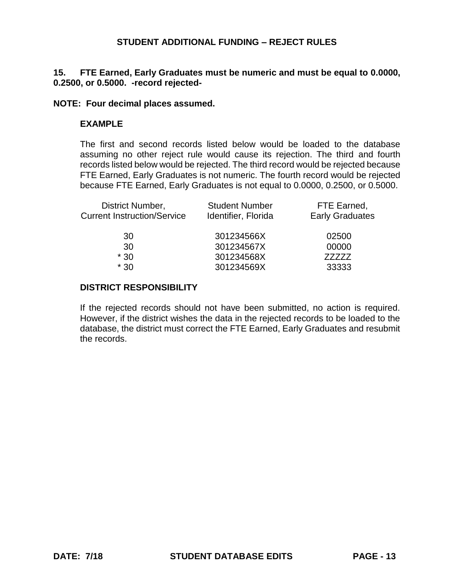# **15. FTE Earned, Early Graduates must be numeric and must be equal to 0.0000, 0.2500, or 0.5000. -record rejected-**

### **NOTE: Four decimal places assumed.**

# **EXAMPLE**

The first and second records listed below would be loaded to the database assuming no other reject rule would cause its rejection. The third and fourth records listed below would be rejected. The third record would be rejected because FTE Earned, Early Graduates is not numeric. The fourth record would be rejected because FTE Earned, Early Graduates is not equal to 0.0000, 0.2500, or 0.5000.

| District Number,                   | <b>Student Number</b> | FTE Earned,            |
|------------------------------------|-----------------------|------------------------|
| <b>Current Instruction/Service</b> | Identifier, Florida   | <b>Early Graduates</b> |
| 30                                 | 301234566X            | 02500                  |
| 30                                 | 301234567X            | 00000                  |
| $*30$                              | 301234568X            | 7777Z                  |
| $*30$                              | 301234569X            | 33333                  |

### **DISTRICT RESPONSIBILITY**

If the rejected records should not have been submitted, no action is required. However, if the district wishes the data in the rejected records to be loaded to the database, the district must correct the FTE Earned, Early Graduates and resubmit the records.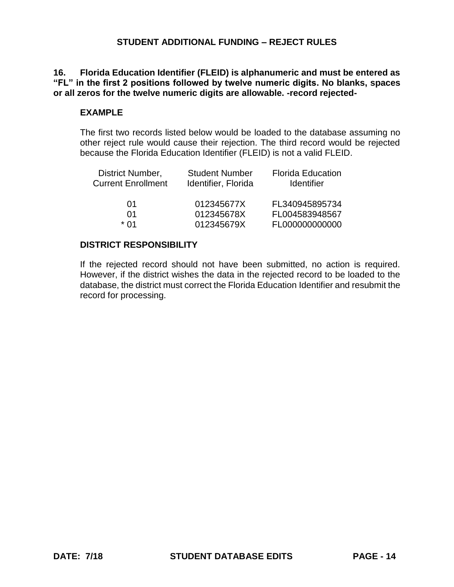### **16. Florida Education Identifier (FLEID) is alphanumeric and must be entered as "FL" in the first 2 positions followed by twelve numeric digits. No blanks, spaces or all zeros for the twelve numeric digits are allowable. -record rejected-**

### **EXAMPLE**

The first two records listed below would be loaded to the database assuming no other reject rule would cause their rejection. The third record would be rejected because the Florida Education Identifier (FLEID) is not a valid FLEID.

| District Number,<br><b>Current Enrollment</b> | <b>Student Number</b><br>Identifier, Florida | <b>Florida Education</b><br><b>Identifier</b> |
|-----------------------------------------------|----------------------------------------------|-----------------------------------------------|
| 01                                            | 012345677X                                   | FL340945895734                                |
| 01                                            | 012345678X                                   | FL004583948567                                |
| * በ1                                          | 012345679X                                   | FL000000000000                                |

# **DISTRICT RESPONSIBILITY**

If the rejected record should not have been submitted, no action is required. However, if the district wishes the data in the rejected record to be loaded to the database, the district must correct the Florida Education Identifier and resubmit the record for processing.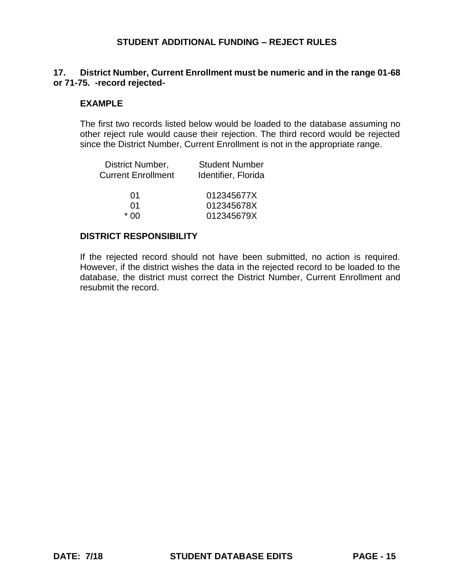# **17. District Number, Current Enrollment must be numeric and in the range 01-68 or 71-75. -record rejected-**

### **EXAMPLE**

The first two records listed below would be loaded to the database assuming no other reject rule would cause their rejection. The third record would be rejected since the District Number, Current Enrollment is not in the appropriate range.

| District Number,<br><b>Current Enrollment</b> | <b>Student Number</b><br>Identifier, Florida |
|-----------------------------------------------|----------------------------------------------|
| 01                                            | 012345677X                                   |
| 01                                            | 012345678X                                   |
| ^∩ *                                          | 012345679X                                   |

### **DISTRICT RESPONSIBILITY**

If the rejected record should not have been submitted, no action is required. However, if the district wishes the data in the rejected record to be loaded to the database, the district must correct the District Number, Current Enrollment and resubmit the record.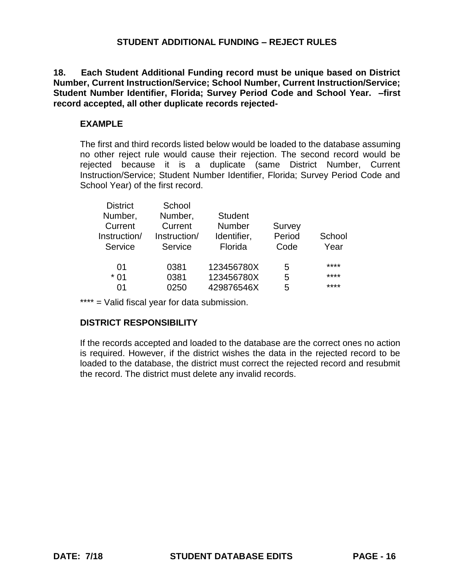**18. Each Student Additional Funding record must be unique based on District Number, Current Instruction/Service; School Number, Current Instruction/Service; Student Number Identifier, Florida; Survey Period Code and School Year. –first record accepted, all other duplicate records rejected-**

# **EXAMPLE**

The first and third records listed below would be loaded to the database assuming no other reject rule would cause their rejection. The second record would be rejected because it is a duplicate (same District Number, Current Instruction/Service; Student Number Identifier, Florida; Survey Period Code and School Year) of the first record.

| <b>District</b> | School       |                |        |        |
|-----------------|--------------|----------------|--------|--------|
| Number,         | Number,      | <b>Student</b> |        |        |
| Current         | Current      | <b>Number</b>  | Survey |        |
| Instruction/    | Instruction/ | Identifier,    | Period | School |
| Service         | Service      | Florida        | Code   | Year   |
|                 |              |                |        |        |
| 01              | 0381         | 123456780X     | 5      | ****   |
| $*01$           | 0381         | 123456780X     | 5      | ****   |
| $^{\circ}$      | 0250         | 429876546X     | 5      | ****   |
|                 |              |                |        |        |

\*\*\*\* = Valid fiscal year for data submission.

# **DISTRICT RESPONSIBILITY**

If the records accepted and loaded to the database are the correct ones no action is required. However, if the district wishes the data in the rejected record to be loaded to the database, the district must correct the rejected record and resubmit the record. The district must delete any invalid records.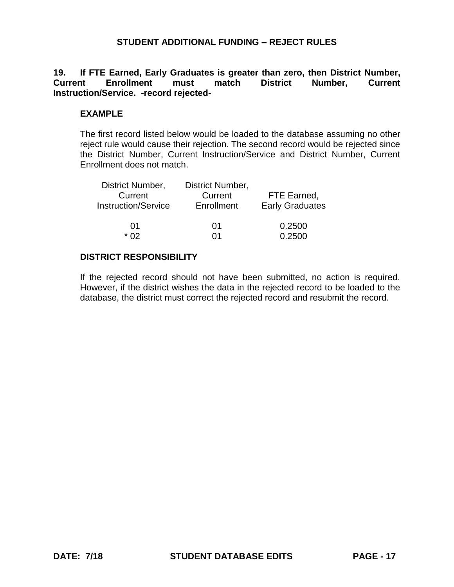### **19. If FTE Earned, Early Graduates is greater than zero, then District Number, Current Enrollment must match District Number, Current Instruction/Service. -record rejected-**

### **EXAMPLE**

The first record listed below would be loaded to the database assuming no other reject rule would cause their rejection. The second record would be rejected since the District Number, Current Instruction/Service and District Number, Current Enrollment does not match.

| District Number,<br>Current<br><b>Instruction/Service</b> | District Number,<br>Current<br>Enrollment | FTE Earned,<br><b>Early Graduates</b> |
|-----------------------------------------------------------|-------------------------------------------|---------------------------------------|
| 01                                                        | 01                                        | 0.2500                                |
| * በ2                                                      | በ1                                        | 0.2500                                |

### **DISTRICT RESPONSIBILITY**

If the rejected record should not have been submitted, no action is required. However, if the district wishes the data in the rejected record to be loaded to the database, the district must correct the rejected record and resubmit the record.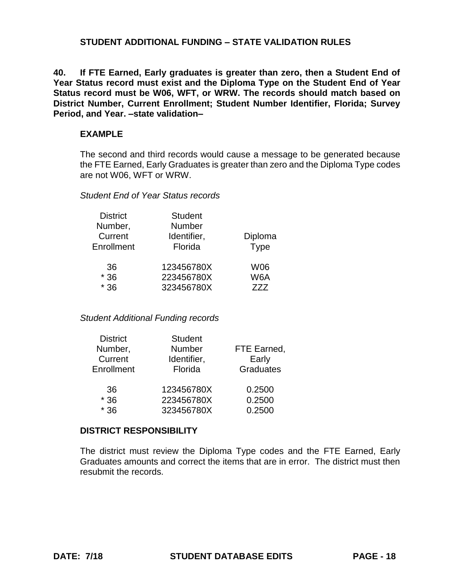# **STUDENT ADDITIONAL FUNDING – STATE VALIDATION RULES**

**40. If FTE Earned, Early graduates is greater than zero, then a Student End of Year Status record must exist and the Diploma Type on the Student End of Year Status record must be W06, WFT, or WRW. The records should match based on District Number, Current Enrollment; Student Number Identifier, Florida; Survey Period, and Year. –state validation–**

### **EXAMPLE**

The second and third records would cause a message to be generated because the FTE Earned, Early Graduates is greater than zero and the Diploma Type codes are not W06, WFT or WRW.

### *Student End of Year Status records*

| <b>District</b><br>Number,<br>Current<br>Enrollment | <b>Student</b><br>Number<br>Identifier,<br>Florida | Diploma<br><b>Type</b> |
|-----------------------------------------------------|----------------------------------------------------|------------------------|
| 36                                                  | 123456780X                                         | <b>W06</b>             |
| $*36$                                               | 223456780X                                         | W6A                    |
| $*36$                                               | 323456780X                                         | 777                    |

### *Student Additional Funding records*

| <b>District</b> | <b>Student</b> |                  |
|-----------------|----------------|------------------|
| Number,         | Number         | FTE Earned,      |
| Current         | Identifier,    | Early            |
| Enrollment      | Florida        | <b>Graduates</b> |
| 36              | 123456780X     | 0.2500           |
| $*36$           | 223456780X     | 0.2500           |
| $*36$           | 323456780X     | 0.2500           |
|                 |                |                  |

### **DISTRICT RESPONSIBILITY**

The district must review the Diploma Type codes and the FTE Earned, Early Graduates amounts and correct the items that are in error. The district must then resubmit the records.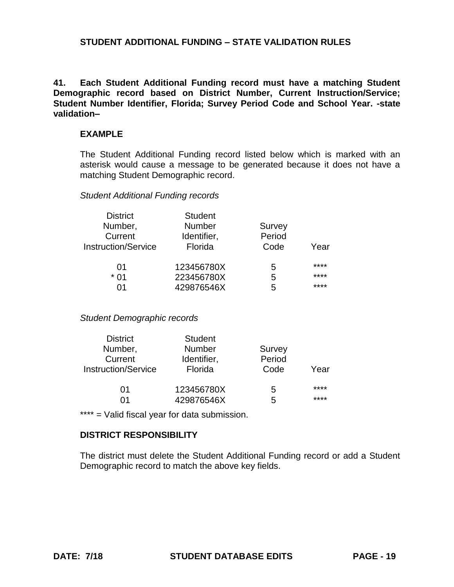**41. Each Student Additional Funding record must have a matching Student Demographic record based on District Number, Current Instruction/Service; Student Number Identifier, Florida; Survey Period Code and School Year. -state validation–**

### **EXAMPLE**

The Student Additional Funding record listed below which is marked with an asterisk would cause a message to be generated because it does not have a matching Student Demographic record.

### *Student Additional Funding records*

| <b>District</b>            | <b>Student</b> |        |      |
|----------------------------|----------------|--------|------|
| Number,                    | <b>Number</b>  | Survey |      |
| Current                    | Identifier,    | Period |      |
| <b>Instruction/Service</b> | Florida        | Code   | Year |
| 01                         | 123456780X     | 5      | **** |
| * 01                       | 223456780X     | 5      | **** |
| 71                         | 429876546X     | 5      | **** |

*Student Demographic records*

| <b>District</b>            | <b>Student</b> |        |      |
|----------------------------|----------------|--------|------|
| Number,                    | Number         | Survey |      |
| Current                    | Identifier,    | Period |      |
| <b>Instruction/Service</b> | Florida        | Code   | Year |
| 01                         | 123456780X     | 5      | **** |
| በ1                         | 429876546X     | 5      | **** |

\*\*\*\* = Valid fiscal year for data submission.

### **DISTRICT RESPONSIBILITY**

The district must delete the Student Additional Funding record or add a Student Demographic record to match the above key fields.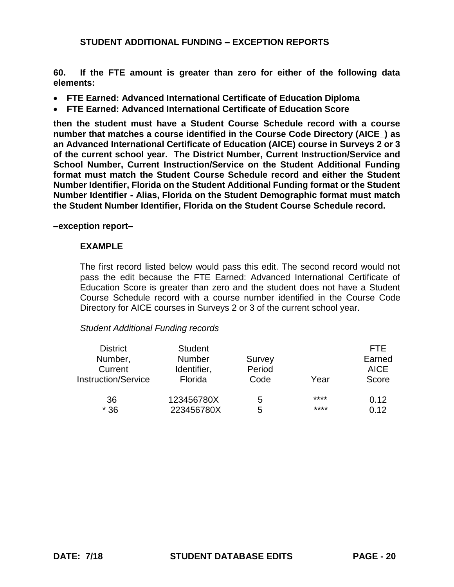**60. If the FTE amount is greater than zero for either of the following data elements:**

- **FTE Earned: Advanced International Certificate of Education Diploma**
- **FTE Earned: Advanced International Certificate of Education Score**

**then the student must have a Student Course Schedule record with a course number that matches a course identified in the Course Code Directory (AICE\_) as an Advanced International Certificate of Education (AICE) course in Surveys 2 or 3 of the current school year. The District Number, Current Instruction/Service and School Number, Current Instruction/Service on the Student Additional Funding format must match the Student Course Schedule record and either the Student Number Identifier, Florida on the Student Additional Funding format or the Student Number Identifier - Alias, Florida on the Student Demographic format must match the Student Number Identifier, Florida on the Student Course Schedule record.** 

#### **–exception report–**

### **EXAMPLE**

The first record listed below would pass this edit. The second record would not pass the edit because the FTE Earned: Advanced International Certificate of Education Score is greater than zero and the student does not have a Student Course Schedule record with a course number identified in the Course Code Directory for AICE courses in Surveys 2 or 3 of the current school year.

### *Student Additional Funding records*

| <b>District</b><br>Number,<br>Current<br><b>Instruction/Service</b> | <b>Student</b><br><b>Number</b><br>Identifier,<br>Florida | Survey<br>Period<br>Code | Year | FTF.<br>Earned<br><b>AICE</b><br>Score |
|---------------------------------------------------------------------|-----------------------------------------------------------|--------------------------|------|----------------------------------------|
| 36                                                                  | 123456780X                                                | 5                        | **** | 0.12                                   |
| $*36$                                                               | 223456780X                                                | 5                        | **** | 0.12                                   |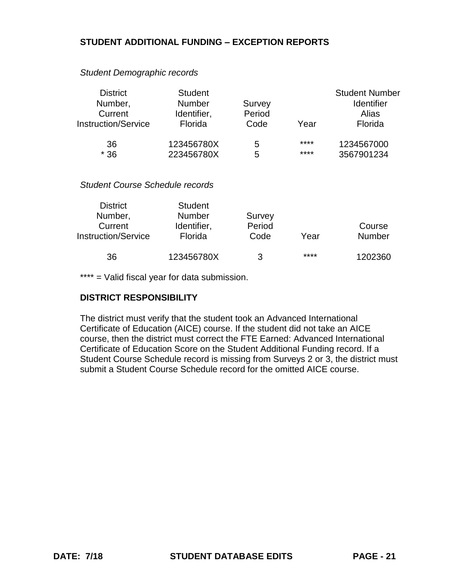| <b>District</b><br>Number,             | <b>Student</b><br><b>Number</b> | Survey |      | <b>Student Number</b><br><b>Identifier</b> |
|----------------------------------------|---------------------------------|--------|------|--------------------------------------------|
| Current                                | Identifier,                     | Period |      | Alias                                      |
| <b>Instruction/Service</b>             | Florida                         | Code   | Year | Florida                                    |
| 36                                     | 123456780X                      | 5      | **** | 1234567000                                 |
| $*36$                                  | 223456780X                      | 5      | **** | 3567901234                                 |
| <b>Student Course Schedule records</b> |                                 |        |      |                                            |
| <b>District</b>                        | <b>Student</b>                  |        |      |                                            |
| Number                                 | Number                          | Survey |      |                                            |

*Student Demographic records*

| <b>District</b>            | Student       |        |      |               |
|----------------------------|---------------|--------|------|---------------|
| Number,                    | <b>Number</b> | Survey |      |               |
| Current                    | Identifier,   | Period |      | Course        |
| <b>Instruction/Service</b> | Florida       | Code   | Year | <b>Number</b> |
|                            |               |        |      |               |
| 36                         | 123456780X    | ર      | **** | 1202360       |

\*\*\*\* = Valid fiscal year for data submission.

### **DISTRICT RESPONSIBILITY**

The district must verify that the student took an Advanced International Certificate of Education (AICE) course. If the student did not take an AICE course, then the district must correct the FTE Earned: Advanced International Certificate of Education Score on the Student Additional Funding record. If a Student Course Schedule record is missing from Surveys 2 or 3, the district must submit a Student Course Schedule record for the omitted AICE course.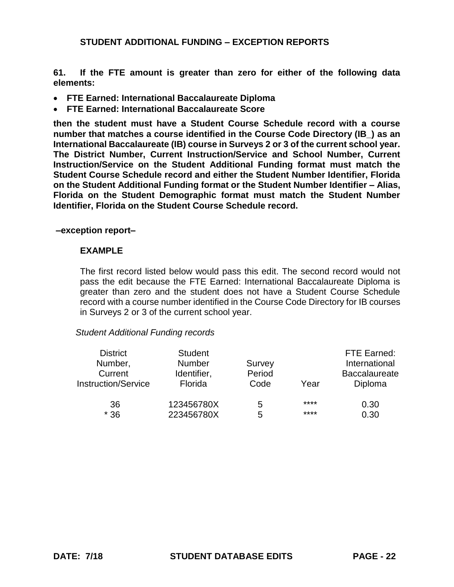**61. If the FTE amount is greater than zero for either of the following data elements:**

- **FTE Earned: International Baccalaureate Diploma**
- **FTE Earned: International Baccalaureate Score**

**then the student must have a Student Course Schedule record with a course number that matches a course identified in the Course Code Directory (IB\_) as an International Baccalaureate (IB) course in Surveys 2 or 3 of the current school year. The District Number, Current Instruction/Service and School Number, Current Instruction/Service on the Student Additional Funding format must match the Student Course Schedule record and either the Student Number Identifier, Florida on the Student Additional Funding format or the Student Number Identifier – Alias, Florida on the Student Demographic format must match the Student Number Identifier, Florida on the Student Course Schedule record.**

#### **–exception report–**

### **EXAMPLE**

The first record listed below would pass this edit. The second record would not pass the edit because the FTE Earned: International Baccalaureate Diploma is greater than zero and the student does not have a Student Course Schedule record with a course number identified in the Course Code Directory for IB courses in Surveys 2 or 3 of the current school year.

### *Student Additional Funding records*

| <b>District</b><br>Number,<br>Current<br><b>Instruction/Service</b> | <b>Student</b><br><b>Number</b><br>Identifier,<br>Florida | Survey<br>Period<br>Code | Year | FTE Earned:<br>International<br><b>Baccalaureate</b><br>Diploma |
|---------------------------------------------------------------------|-----------------------------------------------------------|--------------------------|------|-----------------------------------------------------------------|
| 36                                                                  | 123456780X                                                | 5                        | **** | 0.30                                                            |
| $*36$                                                               | 223456780X                                                | 5                        | **** | 0.30                                                            |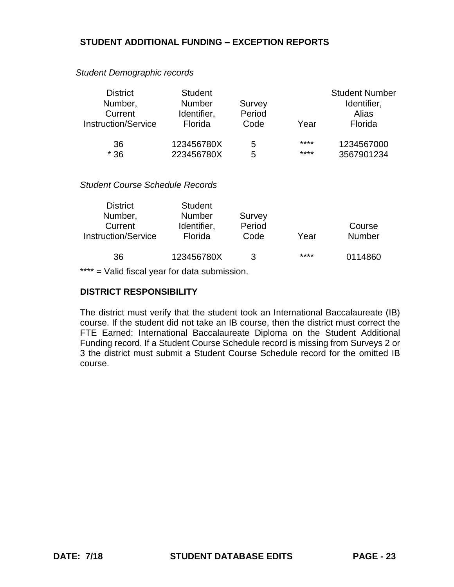#### *Student Demographic records*

| <b>District</b><br>Number,<br>Current<br><b>Instruction/Service</b> | <b>Student</b><br><b>Number</b><br>Identifier,<br>Florida | Survey<br>Period<br>Code | Year | <b>Student Number</b><br>Identifier,<br>Alias<br>Florida |
|---------------------------------------------------------------------|-----------------------------------------------------------|--------------------------|------|----------------------------------------------------------|
| 36                                                                  | 123456780X                                                | 5                        | **** | 1234567000                                               |
| $*36$                                                               | 223456780X                                                | 5                        | **** | 3567901234                                               |

### *Student Course Schedule Records*

| <b>District</b>            | <b>Student</b> |        |      |               |
|----------------------------|----------------|--------|------|---------------|
| Number,                    | <b>Number</b>  | Survey |      |               |
| Current                    | Identifier,    | Period |      | Course        |
| <b>Instruction/Service</b> | Florida        | Code   | Year | <b>Number</b> |
|                            |                |        |      |               |
| 36                         | 123456780X     | З      | **** | 0114860       |

\*\*\*\* = Valid fiscal year for data submission.

### **DISTRICT RESPONSIBILITY**

The district must verify that the student took an International Baccalaureate (IB) course. If the student did not take an IB course, then the district must correct the FTE Earned: International Baccalaureate Diploma on the Student Additional Funding record. If a Student Course Schedule record is missing from Surveys 2 or 3 the district must submit a Student Course Schedule record for the omitted IB course.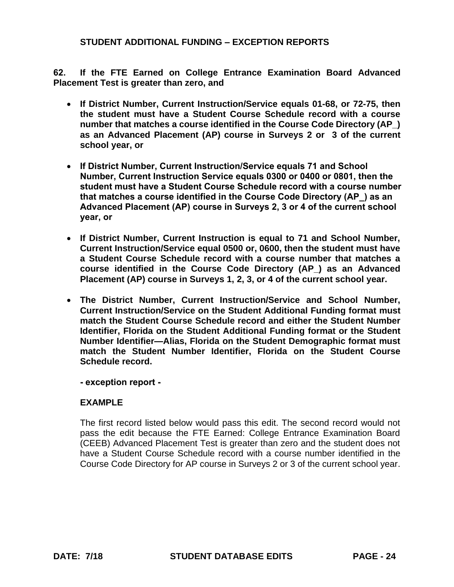**62. If the FTE Earned on College Entrance Examination Board Advanced Placement Test is greater than zero, and**

- **If District Number, Current Instruction/Service equals 01-68, or 72-75, then the student must have a Student Course Schedule record with a course number that matches a course identified in the Course Code Directory (AP\_) as an Advanced Placement (AP) course in Surveys 2 or 3 of the current school year, or**
- **If District Number, Current Instruction/Service equals 71 and School Number, Current Instruction Service equals 0300 or 0400 or 0801, then the student must have a Student Course Schedule record with a course number that matches a course identified in the Course Code Directory (AP\_) as an Advanced Placement (AP) course in Surveys 2, 3 or 4 of the current school year, or**
- **If District Number, Current Instruction is equal to 71 and School Number, Current Instruction/Service equal 0500 or, 0600, then the student must have a Student Course Schedule record with a course number that matches a course identified in the Course Code Directory (AP\_) as an Advanced Placement (AP) course in Surveys 1, 2, 3, or 4 of the current school year.**
- **The District Number, Current Instruction/Service and School Number, Current Instruction/Service on the Student Additional Funding format must match the Student Course Schedule record and either the Student Number Identifier, Florida on the Student Additional Funding format or the Student Number Identifier—Alias, Florida on the Student Demographic format must match the Student Number Identifier, Florida on the Student Course Schedule record.**

**- exception report -** 

# **EXAMPLE**

The first record listed below would pass this edit. The second record would not pass the edit because the FTE Earned: College Entrance Examination Board (CEEB) Advanced Placement Test is greater than zero and the student does not have a Student Course Schedule record with a course number identified in the Course Code Directory for AP course in Surveys 2 or 3 of the current school year.